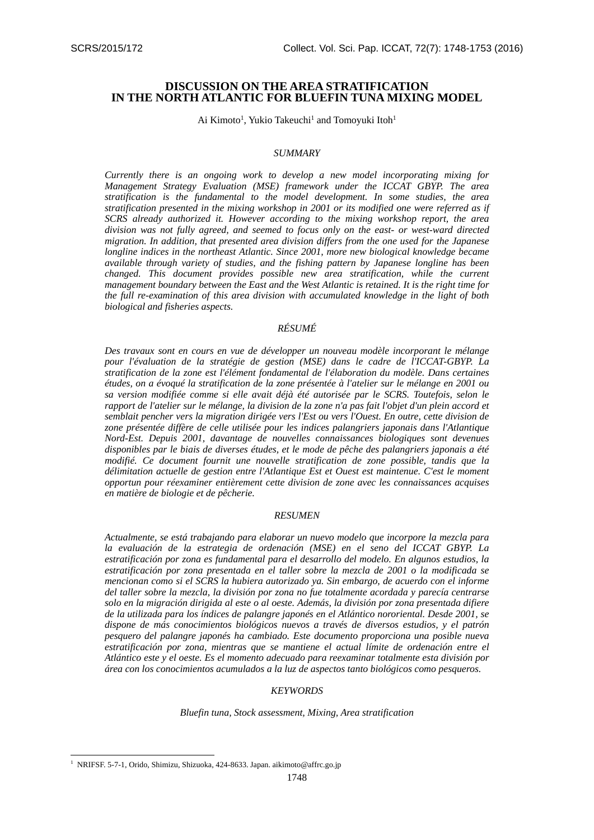# **DISCUSSION ON THE AREA STRATIFICATION IN THE NORTH ATLANTIC FOR BLUEFIN TUNA MIXING MODEL**

Ai Kimoto<sup>1</sup>, Yukio Takeuchi<sup>1</sup> and Tomoyuki Itoh<sup>1</sup>

### *SUMMARY*

*Currently there is an ongoing work to develop a new model incorporating mixing for Management Strategy Evaluation (MSE) framework under the ICCAT GBYP. The area stratification is the fundamental to the model development. In some studies, the area stratification presented in the mixing workshop in 2001 or its modified one were referred as if SCRS already authorized it. However according to the mixing workshop report, the area division was not fully agreed, and seemed to focus only on the east- or west-ward directed migration. In addition, that presented area division differs from the one used for the Japanese longline indices in the northeast Atlantic. Since 2001, more new biological knowledge became available through variety of studies, and the fishing pattern by Japanese longline has been changed. This document provides possible new area stratification, while the current management boundary between the East and the West Atlantic is retained. It is the right time for the full re-examination of this area division with accumulated knowledge in the light of both biological and fisheries aspects.* 

## *RÉSUMÉ*

*Des travaux sont en cours en vue de développer un nouveau modèle incorporant le mélange pour l'évaluation de la stratégie de gestion (MSE) dans le cadre de l'ICCAT-GBYP. La stratification de la zone est l'élément fondamental de l'élaboration du modèle. Dans certaines études, on a évoqué la stratification de la zone présentée à l'atelier sur le mélange en 2001 ou sa version modifiée comme si elle avait déjà été autorisée par le SCRS. Toutefois, selon le rapport de l'atelier sur le mélange, la division de la zone n'a pas fait l'objet d'un plein accord et semblait pencher vers la migration dirigée vers l'Est ou vers l'Ouest. En outre, cette division de zone présentée diffère de celle utilisée pour les indices palangriers japonais dans l'Atlantique Nord-Est. Depuis 2001, davantage de nouvelles connaissances biologiques sont devenues disponibles par le biais de diverses études, et le mode de pêche des palangriers japonais a été modifié. Ce document fournit une nouvelle stratification de zone possible, tandis que la délimitation actuelle de gestion entre l'Atlantique Est et Ouest est maintenue. C'est le moment opportun pour réexaminer entièrement cette division de zone avec les connaissances acquises en matière de biologie et de pêcherie.* 

### *RESUMEN*

*Actualmente, se está trabajando para elaborar un nuevo modelo que incorpore la mezcla para la evaluación de la estrategia de ordenación (MSE) en el seno del ICCAT GBYP. La estratificación por zona es fundamental para el desarrollo del modelo. En algunos estudios, la estratificación por zona presentada en el taller sobre la mezcla de 2001 o la modificada se mencionan como si el SCRS la hubiera autorizado ya. Sin embargo, de acuerdo con el informe del taller sobre la mezcla, la división por zona no fue totalmente acordada y parecía centrarse solo en la migración dirigida al este o al oeste. Además, la división por zona presentada difiere de la utilizada para los índices de palangre japonés en el Atlántico nororiental. Desde 2001, se dispone de más conocimientos biológicos nuevos a través de diversos estudios, y el patrón pesquero del palangre japonés ha cambiado. Este documento proporciona una posible nueva estratificación por zona, mientras que se mantiene el actual límite de ordenación entre el Atlántico este y el oeste. Es el momento adecuado para reexaminar totalmente esta división por área con los conocimientos acumulados a la luz de aspectos tanto biológicos como pesqueros.* 

#### *KEYWORDS*

*Bluefin tuna, Stock assessment, Mixing, Area stratification*

 $\overline{\phantom{a}}$ 

<sup>&</sup>lt;sup>1</sup> NRIFSF. 5-7-1, Orido, Shimizu, Shizuoka, 424-8633. Japan. aikimoto@affrc.go.jp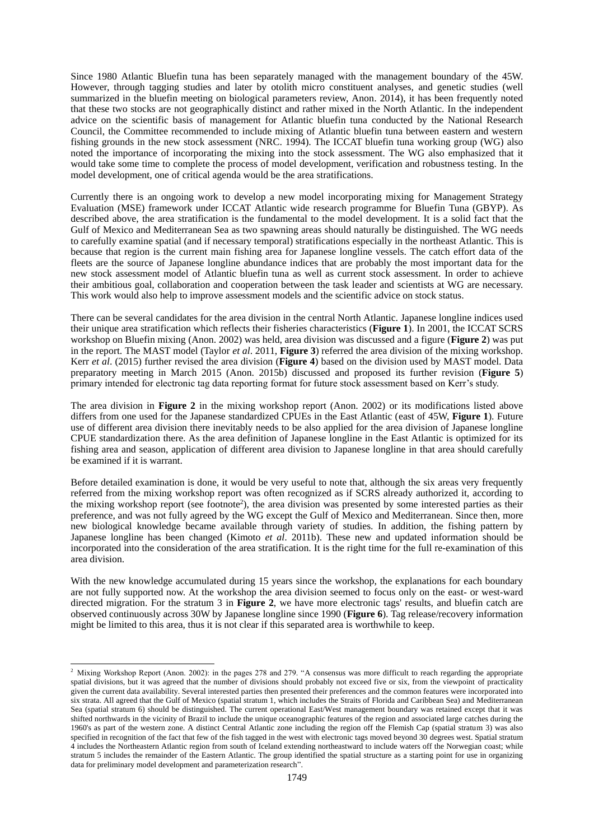Since 1980 Atlantic Bluefin tuna has been separately managed with the management boundary of the 45W. However, through tagging studies and later by otolith micro constituent analyses, and genetic studies (well summarized in the bluefin meeting on biological parameters review, Anon. 2014), it has been frequently noted that these two stocks are not geographically distinct and rather mixed in the North Atlantic. In the independent advice on the scientific basis of management for Atlantic bluefin tuna conducted by the National Research Council, the Committee recommended to include mixing of Atlantic bluefin tuna between eastern and western fishing grounds in the new stock assessment (NRC. 1994). The ICCAT bluefin tuna working group (WG) also noted the importance of incorporating the mixing into the stock assessment. The WG also emphasized that it would take some time to complete the process of model development, verification and robustness testing. In the model development, one of critical agenda would be the area stratifications.

Currently there is an ongoing work to develop a new model incorporating mixing for Management Strategy Evaluation (MSE) framework under ICCAT Atlantic wide research programme for Bluefin Tuna (GBYP). As described above, the area stratification is the fundamental to the model development. It is a solid fact that the Gulf of Mexico and Mediterranean Sea as two spawning areas should naturally be distinguished. The WG needs to carefully examine spatial (and if necessary temporal) stratifications especially in the northeast Atlantic. This is because that region is the current main fishing area for Japanese longline vessels. The catch effort data of the fleets are the source of Japanese longline abundance indices that are probably the most important data for the new stock assessment model of Atlantic bluefin tuna as well as current stock assessment. In order to achieve their ambitious goal, collaboration and cooperation between the task leader and scientists at WG are necessary. This work would also help to improve assessment models and the scientific advice on stock status.

There can be several candidates for the area division in the central North Atlantic. Japanese longline indices used their unique area stratification which reflects their fisheries characteristics (**Figure 1**). In 2001, the ICCAT SCRS workshop on Bluefin mixing (Anon. 2002) was held, area division was discussed and a figure (**Figure 2**) was put in the report. The MAST model (Taylor *et al*. 2011, **Figure 3**) referred the area division of the mixing workshop. Kerr *et al*. (2015) further revised the area division (**Figure 4**) based on the division used by MAST model. Data preparatory meeting in March 2015 (Anon. 2015b) discussed and proposed its further revision (**Figure 5**) primary intended for electronic tag data reporting format for future stock assessment based on Kerr's study.

The area division in **Figure 2** in the mixing workshop report (Anon. 2002) or its modifications listed above differs from one used for the Japanese standardized CPUEs in the East Atlantic (east of 45W, **Figure 1**). Future use of different area division there inevitably needs to be also applied for the area division of Japanese longline CPUE standardization there. As the area definition of Japanese longline in the East Atlantic is optimized for its fishing area and season, application of different area division to Japanese longline in that area should carefully be examined if it is warrant.

Before detailed examination is done, it would be very useful to note that, although the six areas very frequently referred from the mixing workshop report was often recognized as if SCRS already authorized it, according to the mixing workshop report (see footnote<sup>2</sup>), the area division was presented by some interested parties as their preference, and was not fully agreed by the WG except the Gulf of Mexico and Mediterranean. Since then, more new biological knowledge became available through variety of studies. In addition, the fishing pattern by Japanese longline has been changed (Kimoto *et al*. 2011b). These new and updated information should be incorporated into the consideration of the area stratification. It is the right time for the full re-examination of this area division.

With the new knowledge accumulated during 15 years since the workshop, the explanations for each boundary are not fully supported now. At the workshop the area division seemed to focus only on the east- or west-ward directed migration. For the stratum 3 in **Figure 2**, we have more electronic tags' results, and bluefin catch are observed continuously across 30W by Japanese longline since 1990 (**Figure 6**). Tag release/recovery information might be limited to this area, thus it is not clear if this separated area is worthwhile to keep.

-

<sup>&</sup>lt;sup>2</sup> Mixing Workshop Report (Anon. 2002): in the pages 278 and 279. "A consensus was more difficult to reach regarding the appropriate spatial divisions, but it was agreed that the number of divisions should probably not exceed five or six, from the viewpoint of practicality given the current data availability. Several interested parties then presented their preferences and the common features were incorporated into six strata. All agreed that the Gulf of Mexico (spatial stratum 1, which includes the Straits of Florida and Caribbean Sea) and Mediterranean Sea (spatial stratum 6) should be distinguished. The current operational East/West management boundary was retained except that it was shifted northwards in the vicinity of Brazil to include the unique oceanographic features of the region and associated large catches during the 1960's as part of the western zone. A distinct Central Atlantic zone including the region off the Flemish Cap (spatial stratum 3) was also specified in recognition of the fact that few of the fish tagged in the west with electronic tags moved beyond 30 degrees west. Spatial stratum 4 includes the Northeastern Atlantic region from south of Iceland extending northeastward to include waters off the Norwegian coast; while stratum 5 includes the remainder of the Eastern Atlantic. The group identified the spatial structure as a starting point for use in organizing data for preliminary model development and parameterization research".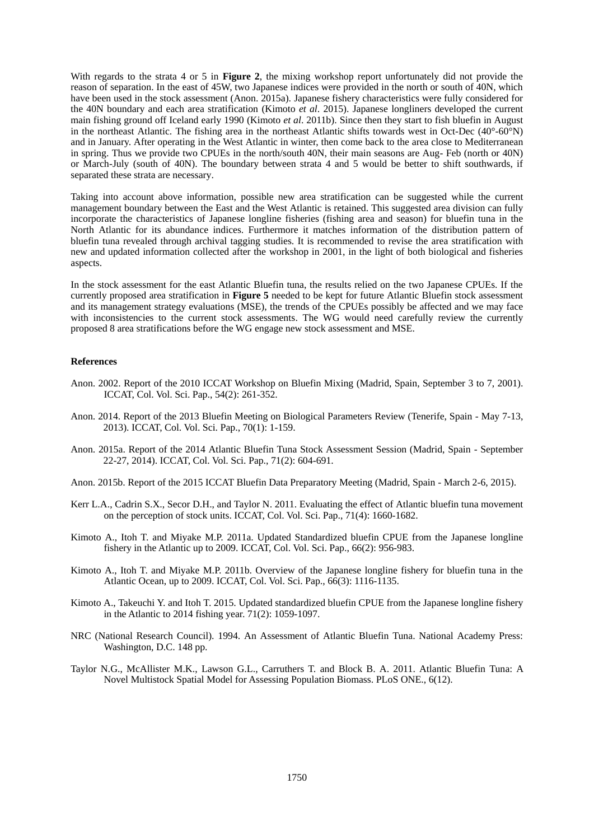With regards to the strata 4 or 5 in **Figure 2**, the mixing workshop report unfortunately did not provide the reason of separation. In the east of 45W, two Japanese indices were provided in the north or south of 40N, which have been used in the stock assessment (Anon. 2015a). Japanese fishery characteristics were fully considered for the 40N boundary and each area stratification (Kimoto *et al*. 2015). Japanese longliners developed the current main fishing ground off Iceland early 1990 (Kimoto *et al*. 2011b). Since then they start to fish bluefin in August in the northeast Atlantic. The fishing area in the northeast Atlantic shifts towards west in Oct-Dec  $(40^{\circ}$ -60°N) and in January. After operating in the West Atlantic in winter, then come back to the area close to Mediterranean in spring. Thus we provide two CPUEs in the north/south 40N, their main seasons are Aug- Feb (north or 40N) or March-July (south of 40N). The boundary between strata 4 and 5 would be better to shift southwards, if separated these strata are necessary.

Taking into account above information, possible new area stratification can be suggested while the current management boundary between the East and the West Atlantic is retained. This suggested area division can fully incorporate the characteristics of Japanese longline fisheries (fishing area and season) for bluefin tuna in the North Atlantic for its abundance indices. Furthermore it matches information of the distribution pattern of bluefin tuna revealed through archival tagging studies. It is recommended to revise the area stratification with new and updated information collected after the workshop in 2001, in the light of both biological and fisheries aspects.

In the stock assessment for the east Atlantic Bluefin tuna, the results relied on the two Japanese CPUEs. If the currently proposed area stratification in **Figure 5** needed to be kept for future Atlantic Bluefin stock assessment and its management strategy evaluations (MSE), the trends of the CPUEs possibly be affected and we may face with inconsistencies to the current stock assessments. The WG would need carefully review the currently proposed 8 area stratifications before the WG engage new stock assessment and MSE.

#### **References**

- Anon. 2002. Report of the 2010 ICCAT Workshop on Bluefin Mixing (Madrid, Spain, September 3 to 7, 2001). ICCAT, Col. Vol. Sci. Pap., 54(2): 261-352.
- Anon. 2014. Report of the 2013 Bluefin Meeting on Biological Parameters Review (Tenerife, Spain May 7-13, 2013). ICCAT, Col. Vol. Sci. Pap., 70(1): 1-159.
- Anon. 2015a. Report of the 2014 Atlantic Bluefin Tuna Stock Assessment Session (Madrid, Spain September 22-27, 2014). ICCAT, Col. Vol. Sci. Pap., 71(2): 604-691.
- Anon. 2015b. Report of the 2015 ICCAT Bluefin Data Preparatory Meeting (Madrid, Spain March 2-6, 2015).
- Kerr L.A., Cadrin S.X., Secor D.H., and Taylor N. 2011. Evaluating the effect of Atlantic bluefin tuna movement on the perception of stock units. ICCAT, Col. Vol. Sci. Pap., 71(4): 1660-1682.
- Kimoto A., Itoh T. and Miyake M.P. 2011a. Updated Standardized bluefin CPUE from the Japanese longline fishery in the Atlantic up to 2009. ICCAT, Col. Vol. Sci. Pap., 66(2): 956-983.
- Kimoto A., Itoh T. and Miyake M.P. 2011b. Overview of the Japanese longline fishery for bluefin tuna in the Atlantic Ocean, up to 2009. ICCAT, Col. Vol. Sci. Pap., 66(3): 1116-1135.
- Kimoto A., Takeuchi Y. and Itoh T. 2015. Updated standardized bluefin CPUE from the Japanese longline fishery in the Atlantic to 2014 fishing year. 71(2): 1059-1097.
- NRC (National Research Council). 1994. An Assessment of Atlantic Bluefin Tuna. National Academy Press: Washington, D.C. 148 pp.
- Taylor N.G., McAllister M.K., Lawson G.L., Carruthers T. and Block B. A. 2011. Atlantic Bluefin Tuna: A Novel Multistock Spatial Model for Assessing Population Biomass. PLoS ONE., 6(12).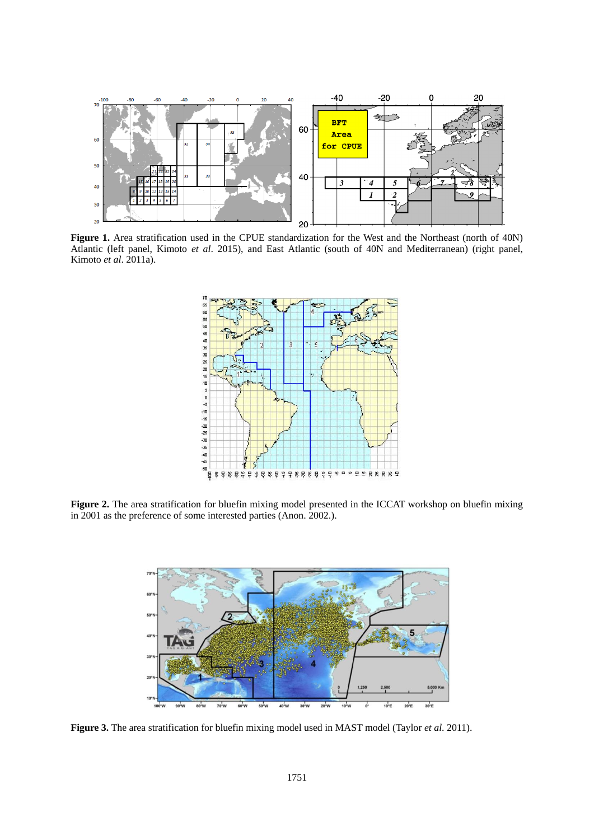

**Figure 1.** Area stratification used in the CPUE standardization for the West and the Northeast (north of 40N) Atlantic (left panel, Kimoto *et al*. 2015), and East Atlantic (south of 40N and Mediterranean) (right panel, Kimoto *et al*. 2011a).



**Figure 2.** The area stratification for bluefin mixing model presented in the ICCAT workshop on bluefin mixing in 2001 as the preference of some interested parties (Anon. 2002.).



**Figure 3.** The area stratification for bluefin mixing model used in MAST model (Taylor *et al*. 2011).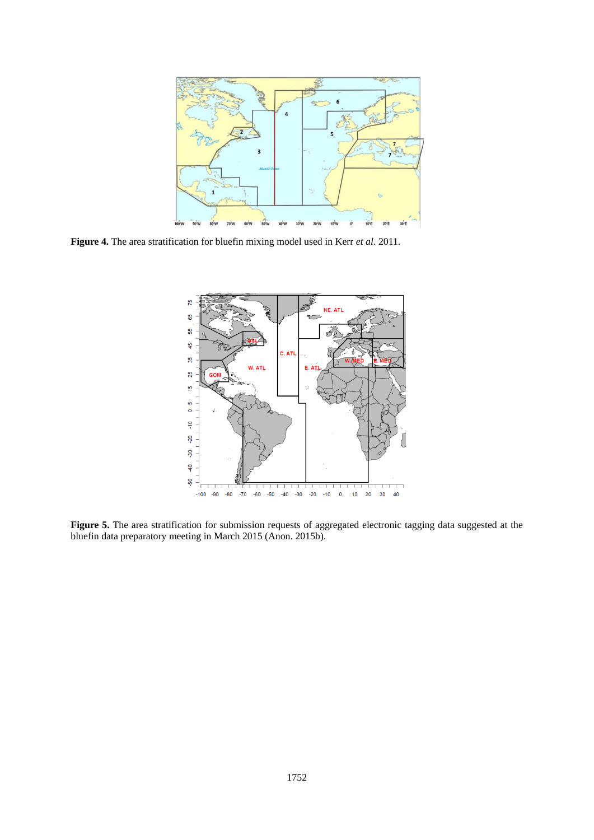

**Figure 4.** The area stratification for bluefin mixing model used in Kerr *et al*. 2011.



**Figure 5.** The area stratification for submission requests of aggregated electronic tagging data suggested at the bluefin data preparatory meeting in March 2015 (Anon. 2015b).